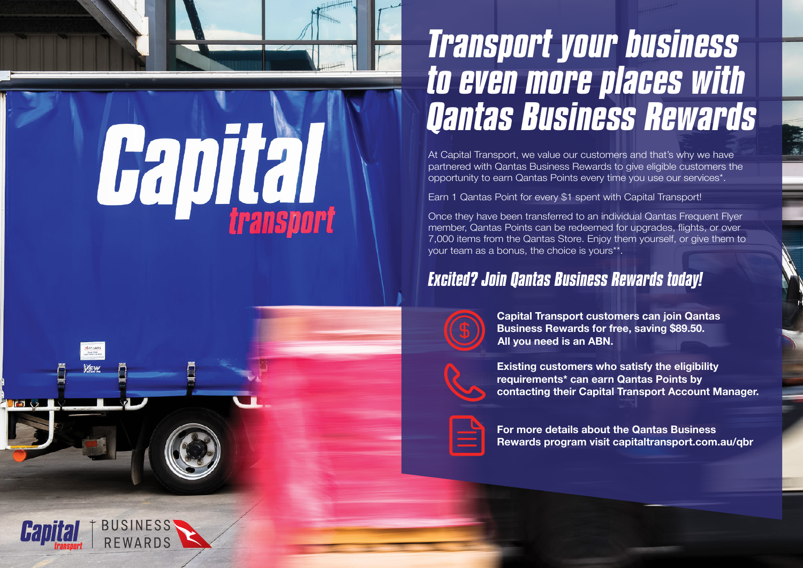

**Hapital** 

**BUSINESS RFWARDS** 

## *Transport your business to even more places with Qantas Business Rewards*

At Capital Transport, we value our customers and that's why we have partnered with Qantas Business Rewards to give eligible customers the opportunity to earn Qantas Points every time you use our services\*.

Earn 1 Qantas Point for every \$1 spent with Capital Transport!

Once they have been transferred to an individual Qantas Frequent Flyer member, Qantas Points can be redeemed for upgrades, flights, or over 7,000 items from the Qantas Store. Enjoy them yourself, or give them to your team as a bonus, the choice is yours\*\*.

## *Excited? Join Qantas Business Rewards today!*



 **Capital Transport customers can join Qantas Business Rewards for free, saving \$89.50. All you need is an ABN.**



 **Existing customers who satisfy the eligibility requirements\* can earn Qantas Points by contacting their Capital Transport Account Manager.** 



 **For more details about the Qantas Business Rewards program visit capitaltransport.com.au/qbr**